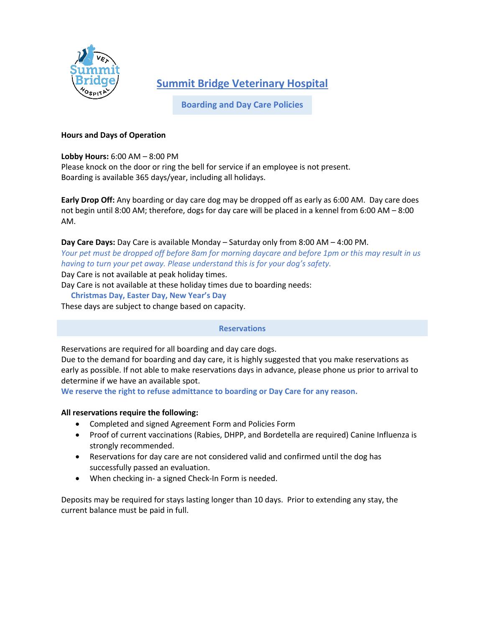

**Summit Bridge Veterinary Hospital**

**Boarding and Day Care Policies**

## **Hours and Days of Operation**

### **Lobby Hours:** 6:00 AM – 8:00 PM

Please knock on the door or ring the bell for service if an employee is not present. Boarding is available 365 days/year, including all holidays.

**Early Drop Off:** Any boarding or day care dog may be dropped off as early as 6:00 AM. Day care does not begin until 8:00 AM; therefore, dogs for day care will be placed in a kennel from 6:00 AM – 8:00 AM.

## **Day Care Days:** Day Care is available Monday – Saturday only from 8:00 AM – 4:00 PM.

*Your pet must be dropped off before 8am for morning daycare and before 1pm or this may result in us having to turn your pet away. Please understand this is for your dog's safety.*

Day Care is not available at peak holiday times.

Day Care is not available at these holiday times due to boarding needs:

### **Christmas Day, Easter Day, New Year's Day**

These days are subject to change based on capacity.

### **Reservations**

Reservations are required for all boarding and day care dogs.

Due to the demand for boarding and day care, it is highly suggested that you make reservations as early as possible. If not able to make reservations days in advance, please phone us prior to arrival to determine if we have an available spot.

**We reserve the right to refuse admittance to boarding or Day Care for any reason.** 

# **All reservations require the following:**

- Completed and signed Agreement Form and Policies Form
- Proof of current vaccinations (Rabies, DHPP, and Bordetella are required) Canine Influenza is strongly recommended.
- Reservations for day care are not considered valid and confirmed until the dog has successfully passed an evaluation.
- When checking in- a signed Check-In Form is needed.

Deposits may be required for stays lasting longer than 10 days. Prior to extending any stay, the current balance must be paid in full.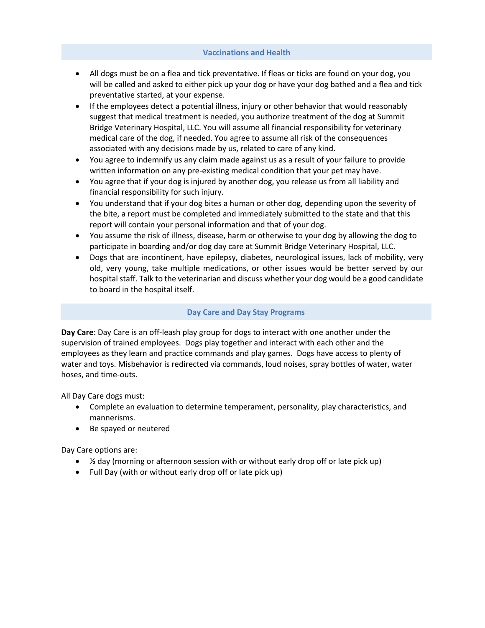#### **Vaccinations and Health**

- All dogs must be on a flea and tick preventative. If fleas or ticks are found on your dog, you will be called and asked to either pick up your dog or have your dog bathed and a flea and tick preventative started, at your expense.
- If the employees detect a potential illness, injury or other behavior that would reasonably suggest that medical treatment is needed, you authorize treatment of the dog at Summit Bridge Veterinary Hospital, LLC. You will assume all financial responsibility for veterinary medical care of the dog, if needed. You agree to assume all risk of the consequences associated with any decisions made by us, related to care of any kind.
- You agree to indemnify us any claim made against us as a result of your failure to provide written information on any pre-existing medical condition that your pet may have.
- You agree that if your dog is injured by another dog, you release us from all liability and financial responsibility for such injury.
- You understand that if your dog bites a human or other dog, depending upon the severity of the bite, a report must be completed and immediately submitted to the state and that this report will contain your personal information and that of your dog.
- You assume the risk of illness, disease, harm or otherwise to your dog by allowing the dog to participate in boarding and/or dog day care at Summit Bridge Veterinary Hospital, LLC.
- Dogs that are incontinent, have epilepsy, diabetes, neurological issues, lack of mobility, very old, very young, take multiple medications, or other issues would be better served by our hospital staff. Talk to the veterinarian and discuss whether your dog would be a good candidate to board in the hospital itself.

#### **Day Care and Day Stay Programs**

**Day Care**: Day Care is an off-leash play group for dogs to interact with one another under the supervision of trained employees. Dogs play together and interact with each other and the employees as they learn and practice commands and play games. Dogs have access to plenty of water and toys. Misbehavior is redirected via commands, loud noises, spray bottles of water, water hoses, and time-outs.

All Day Care dogs must:

- Complete an evaluation to determine temperament, personality, play characteristics, and mannerisms.
- Be spayed or neutered

Day Care options are:

- ½ day (morning or afternoon session with or without early drop off or late pick up)
- Full Day (with or without early drop off or late pick up)